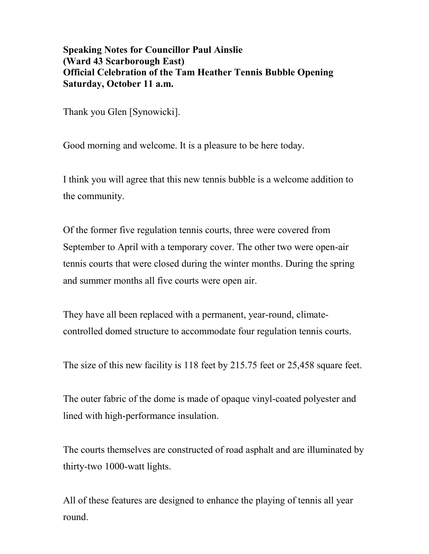## **Speaking Notes for Councillor Paul Ainslie (Ward 43 Scarborough East) Official Celebration of the Tam Heather Tennis Bubble Opening Saturday, October 11 a.m.**

Thank you Glen [Synowicki].

Good morning and welcome. It is a pleasure to be here today.

I think you will agree that this new tennis bubble is a welcome addition to the community.

Of the former five regulation tennis courts, three were covered from September to April with a temporary cover. The other two were open-air tennis courts that were closed during the winter months. During the spring and summer months all five courts were open air.

They have all been replaced with a permanent, year-round, climatecontrolled domed structure to accommodate four regulation tennis courts.

The size of this new facility is 118 feet by 215.75 feet or 25,458 square feet.

The outer fabric of the dome is made of opaque vinyl-coated polyester and lined with high-performance insulation.

The courts themselves are constructed of road asphalt and are illuminated by thirty-two 1000-watt lights.

All of these features are designed to enhance the playing of tennis all year round.